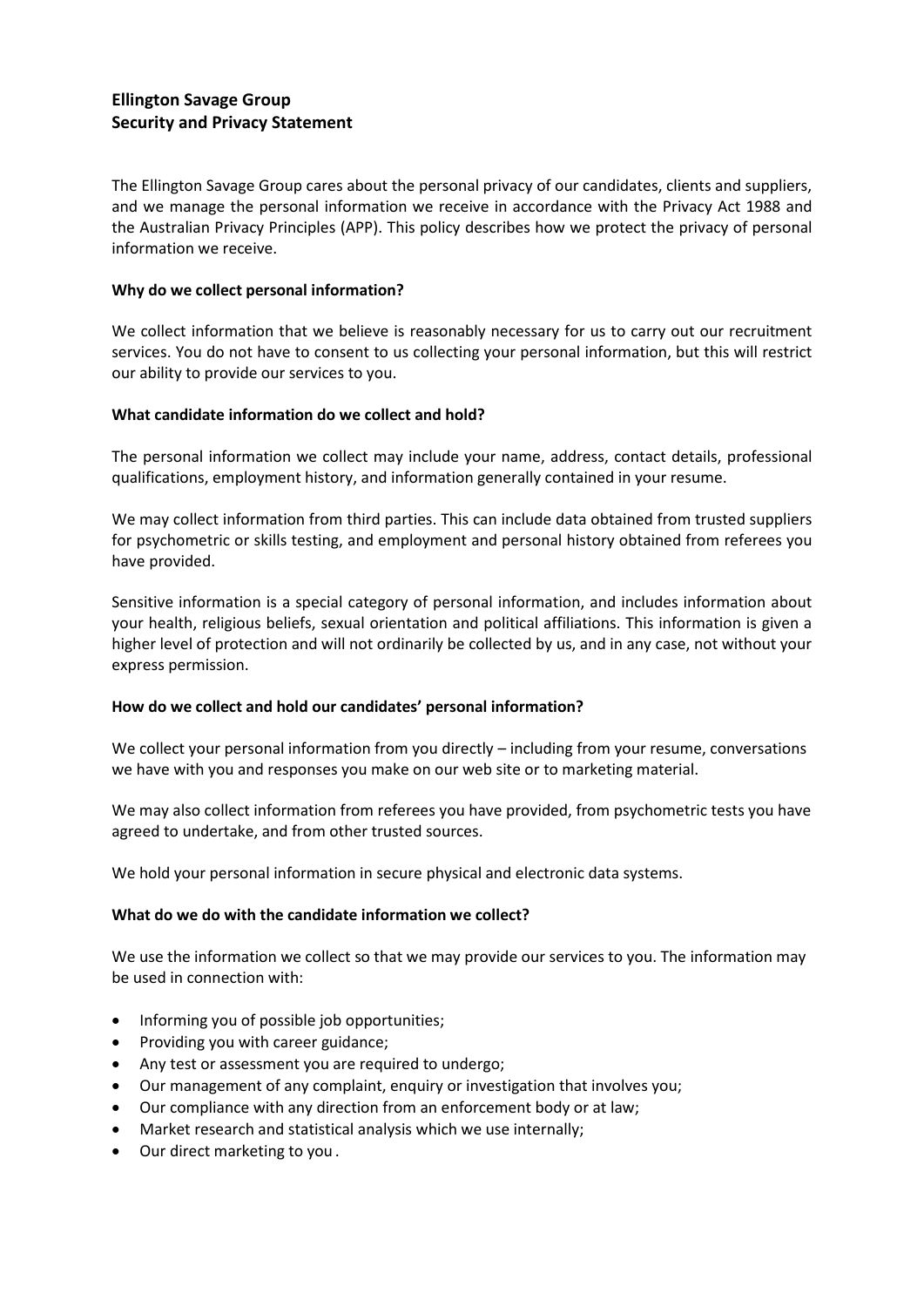# **Ellington Savage Group Security and Privacy Statement**

The Ellington Savage Group cares about the personal privacy of our candidates, clients and suppliers, and we manage the personal information we receive in accordance with the Privacy Act 1988 and the Australian Privacy Principles (APP). This policy describes how we protect the privacy of personal information we receive.

# **Why do we collect personal information?**

We collect information that we believe is reasonably necessary for us to carry out our recruitment services. You do not have to consent to us collecting your personal information, but this will restrict our ability to provide our services to you.

# **What candidate information do we collect and hold?**

The personal information we collect may include your name, address, contact details, professional qualifications, employment history, and information generally contained in your resume.

We may collect information from third parties. This can include data obtained from trusted suppliers for psychometric or skills testing, and employment and personal history obtained from referees you have provided.

Sensitive information is a special category of personal information, and includes information about your health, religious beliefs, sexual orientation and political affiliations. This information is given a higher level of protection and will not ordinarily be collected by us, and in any case, not without your express permission.

### **How do we collect and hold our candidates' personal information?**

We collect your personal information from you directly – including from your resume, conversations we have with you and responses you make on our web site or to marketing material.

We may also collect information from referees you have provided, from psychometric tests you have agreed to undertake, and from other trusted sources.

We hold your personal information in secure physical and electronic data systems.

### **What do we do with the candidate information we collect?**

We use the information we collect so that we may provide our services to you. The information may be used in connection with:

- Informing you of possible job opportunities;
- Providing you with career guidance;
- Any test or assessment you are required to undergo;
- Our management of any complaint, enquiry or investigation that involves you;
- Our compliance with any direction from an enforcement body or at law;
- Market research and statistical analysis which we use internally;
- Our direct marketing to you .